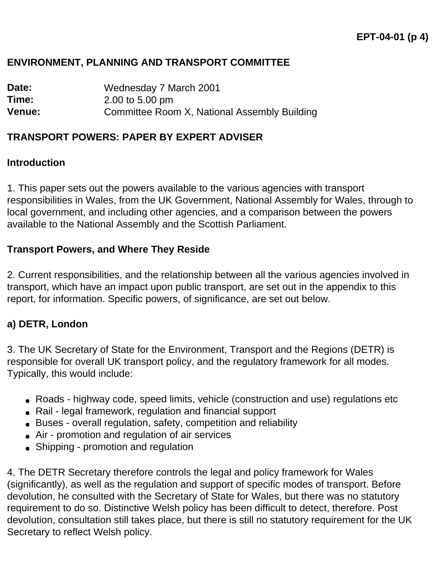#### **ENVIRONMENT, PLANNING AND TRANSPORT COMMITTEE**

**Date:** Wednesday 7 March 2001 **Time:** 2.00 to 5.00 pm **Venue:** Committee Room X, National Assembly Building

#### **TRANSPORT POWERS: PAPER BY EXPERT ADVISER**

#### **Introduction**

1. This paper sets out the powers available to the various agencies with transport responsibilities in Wales, from the UK Government, National Assembly for Wales, through to local government, and including other agencies, and a comparison between the powers available to the National Assembly and the Scottish Parliament.

#### **Transport Powers, and Where They Reside**

2. Current responsibilities, and the relationship between all the various agencies involved in transport, which have an impact upon public transport, are set out in the appendix to this report, for information. Specific powers, of significance, are set out below.

#### **a) DETR, London**

3. The UK Secretary of State for the Environment, Transport and the Regions (DETR) is responsible for overall UK transport policy, and the regulatory framework for all modes. Typically, this would include:

- Roads highway code, speed limits, vehicle (construction and use) regulations etc
- Rail legal framework, regulation and financial support
- Buses overall regulation, safety, competition and reliability
- Air promotion and regulation of air services
- Shipping promotion and regulation

4. The DETR Secretary therefore controls the legal and policy framework for Wales (significantly), as well as the regulation and support of specific modes of transport. Before devolution, he consulted with the Secretary of State for Wales, but there was no statutory requirement to do so. Distinctive Welsh policy has been difficult to detect, therefore. Post devolution, consultation still takes place, but there is still no statutory requirement for the UK Secretary to reflect Welsh policy.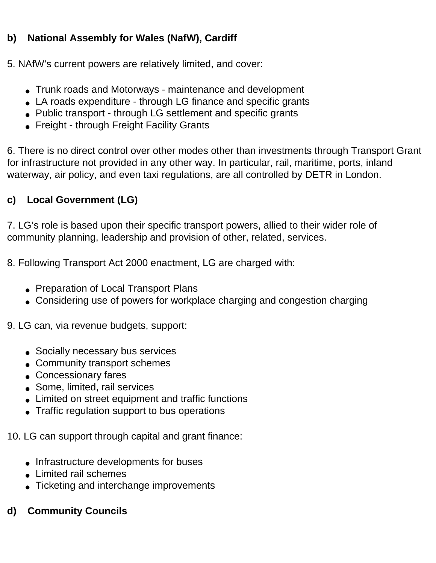## **b) National Assembly for Wales (NafW), Cardiff**

5. NAfW's current powers are relatively limited, and cover:

- Trunk roads and Motorways maintenance and development
- LA roads expenditure through LG finance and specific grants
- Public transport through LG settlement and specific grants
- Freight through Freight Facility Grants

6. There is no direct control over other modes other than investments through Transport Grant for infrastructure not provided in any other way. In particular, rail, maritime, ports, inland waterway, air policy, and even taxi regulations, are all controlled by DETR in London.

# **c) Local Government (LG)**

7. LG's role is based upon their specific transport powers, allied to their wider role of community planning, leadership and provision of other, related, services.

8. Following Transport Act 2000 enactment, LG are charged with:

- Preparation of Local Transport Plans
- Considering use of powers for workplace charging and congestion charging

9. LG can, via revenue budgets, support:

- Socially necessary bus services
- Community transport schemes
- Concessionary fares
- Some, limited, rail services
- Limited on street equipment and traffic functions
- Traffic regulation support to bus operations

10. LG can support through capital and grant finance:

- Infrastructure developments for buses
- Limited rail schemes
- Ticketing and interchange improvements

## **d) Community Councils**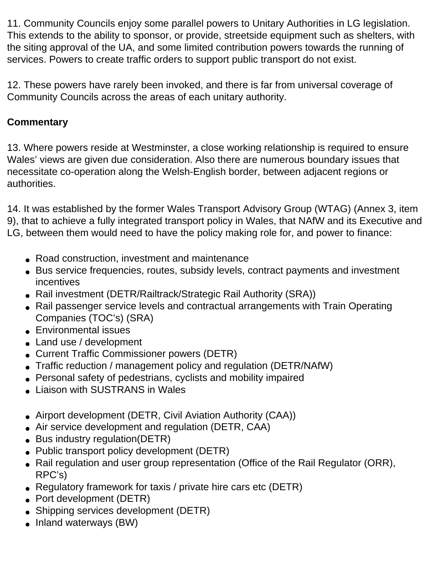11. Community Councils enjoy some parallel powers to Unitary Authorities in LG legislation. This extends to the ability to sponsor, or provide, streetside equipment such as shelters, with the siting approval of the UA, and some limited contribution powers towards the running of services. Powers to create traffic orders to support public transport do not exist.

12. These powers have rarely been invoked, and there is far from universal coverage of Community Councils across the areas of each unitary authority.

## **Commentary**

13. Where powers reside at Westminster, a close working relationship is required to ensure Wales' views are given due consideration. Also there are numerous boundary issues that necessitate co-operation along the Welsh-English border, between adjacent regions or authorities.

14. It was established by the former Wales Transport Advisory Group (WTAG) (Annex 3, item 9), that to achieve a fully integrated transport policy in Wales, that NAfW and its Executive and LG, between them would need to have the policy making role for, and power to finance:

- Road construction, investment and maintenance
- Bus service frequencies, routes, subsidy levels, contract payments and investment incentives
- Rail investment (DETR/Railtrack/Strategic Rail Authority (SRA))
- Rail passenger service levels and contractual arrangements with Train Operating Companies (TOC's) (SRA)
- Environmental issues
- Land use / development
- Current Traffic Commissioner powers (DETR)
- Traffic reduction / management policy and regulation (DETR/NAfW)
- Personal safety of pedestrians, cyclists and mobility impaired
- Liaison with SUSTRANS in Wales
- Airport development (DETR, Civil Aviation Authority (CAA))
- Air service development and regulation (DETR, CAA)
- Bus industry regulation(DETR)
- Public transport policy development (DETR)
- Rail regulation and user group representation (Office of the Rail Regulator (ORR), RPC's)
- Regulatory framework for taxis / private hire cars etc (DETR)
- Port development (DETR)
- Shipping services development (DETR)
- Inland waterways (BW)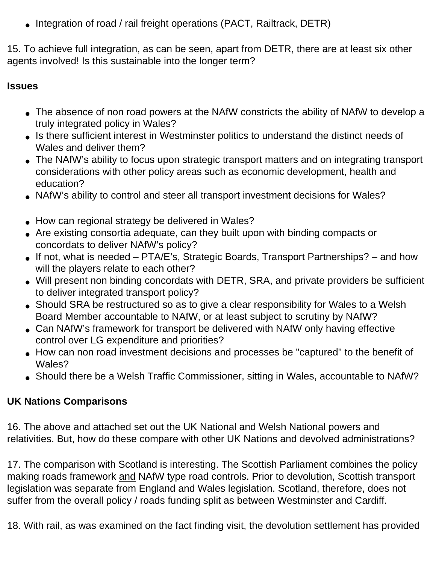• Integration of road / rail freight operations (PACT, Railtrack, DETR)

15. To achieve full integration, as can be seen, apart from DETR, there are at least six other agents involved! Is this sustainable into the longer term?

### **Issues**

- The absence of non road powers at the NAfW constricts the ability of NAfW to develop a truly integrated policy in Wales?
- Is there sufficient interest in Westminster politics to understand the distinct needs of Wales and deliver them?
- The NAfW's ability to focus upon strategic transport matters and on integrating transport considerations with other policy areas such as economic development, health and education?
- NAfW's ability to control and steer all transport investment decisions for Wales?
- How can regional strategy be delivered in Wales?
- Are existing consortia adequate, can they built upon with binding compacts or concordats to deliver NAfW's policy?
- If not, what is needed PTA/E's, Strategic Boards, Transport Partnerships? and how will the players relate to each other?
- Will present non binding concordats with DETR, SRA, and private providers be sufficient to deliver integrated transport policy?
- Should SRA be restructured so as to give a clear responsibility for Wales to a Welsh Board Member accountable to NAfW, or at least subject to scrutiny by NAfW?
- Can NAfW's framework for transport be delivered with NAfW only having effective control over LG expenditure and priorities?
- How can non road investment decisions and processes be "captured" to the benefit of Wales?
- Should there be a Welsh Traffic Commissioner, sitting in Wales, accountable to NAfW?

# **UK Nations Comparisons**

16. The above and attached set out the UK National and Welsh National powers and relativities. But, how do these compare with other UK Nations and devolved administrations?

17. The comparison with Scotland is interesting. The Scottish Parliament combines the policy making roads framework and NAfW type road controls. Prior to devolution, Scottish transport legislation was separate from England and Wales legislation. Scotland, therefore, does not suffer from the overall policy / roads funding split as between Westminster and Cardiff.

18. With rail, as was examined on the fact finding visit, the devolution settlement has provided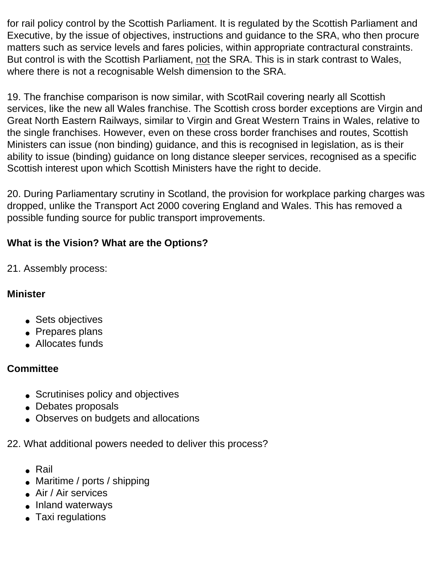for rail policy control by the Scottish Parliament. It is regulated by the Scottish Parliament and Executive, by the issue of objectives, instructions and guidance to the SRA, who then procure matters such as service levels and fares policies, within appropriate contractural constraints. But control is with the Scottish Parliament, not the SRA. This is in stark contrast to Wales, where there is not a recognisable Welsh dimension to the SRA.

19. The franchise comparison is now similar, with ScotRail covering nearly all Scottish services, like the new all Wales franchise. The Scottish cross border exceptions are Virgin and Great North Eastern Railways, similar to Virgin and Great Western Trains in Wales, relative to the single franchises. However, even on these cross border franchises and routes, Scottish Ministers can issue (non binding) guidance, and this is recognised in legislation, as is their ability to issue (binding) guidance on long distance sleeper services, recognised as a specific Scottish interest upon which Scottish Ministers have the right to decide.

20. During Parliamentary scrutiny in Scotland, the provision for workplace parking charges was dropped, unlike the Transport Act 2000 covering England and Wales. This has removed a possible funding source for public transport improvements.

## **What is the Vision? What are the Options?**

21. Assembly process:

### **Minister**

- Sets objectives
- Prepares plans
- Allocates funds

### **Committee**

- Scrutinises policy and objectives
- Debates proposals
- Observes on budgets and allocations
- 22. What additional powers needed to deliver this process?
	- Rail
	- Maritime / ports / shipping
	- Air / Air services
	- Inland waterways
	- Taxi regulations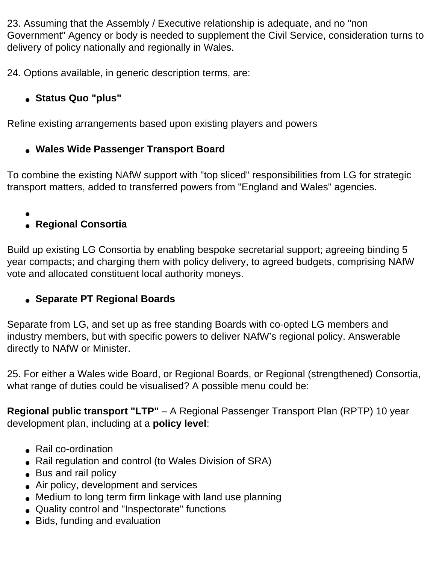23. Assuming that the Assembly / Executive relationship is adequate, and no "non Government" Agency or body is needed to supplement the Civil Service, consideration turns to delivery of policy nationally and regionally in Wales.

24. Options available, in generic description terms, are:

# ● **Status Quo "plus"**

Refine existing arrangements based upon existing players and powers

# ● **Wales Wide Passenger Transport Board**

To combine the existing NAfW support with "top sliced" responsibilities from LG for strategic transport matters, added to transferred powers from "England and Wales" agencies.

●

# ● **Regional Consortia**

Build up existing LG Consortia by enabling bespoke secretarial support; agreeing binding 5 year compacts; and charging them with policy delivery, to agreed budgets, comprising NAfW vote and allocated constituent local authority moneys.

# ● **Separate PT Regional Boards**

Separate from LG, and set up as free standing Boards with co-opted LG members and industry members, but with specific powers to deliver NAfW's regional policy. Answerable directly to NAfW or Minister.

25. For either a Wales wide Board, or Regional Boards, or Regional (strengthened) Consortia, what range of duties could be visualised? A possible menu could be:

**Regional public transport "LTP"** – A Regional Passenger Transport Plan (RPTP) 10 year development plan, including at a **policy level**:

- Rail co-ordination
- Rail regulation and control (to Wales Division of SRA)
- Bus and rail policy
- Air policy, development and services
- Medium to long term firm linkage with land use planning
- Quality control and "Inspectorate" functions
- Bids, funding and evaluation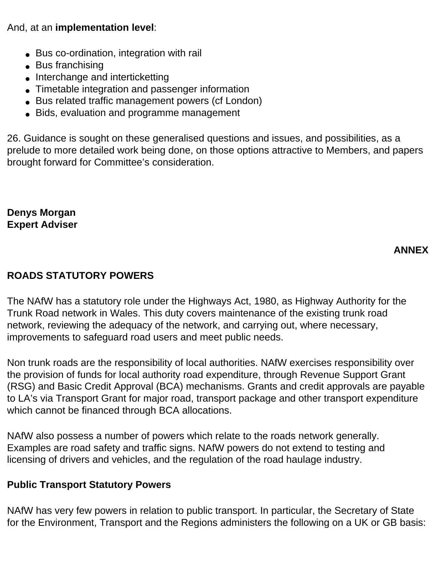And, at an **implementation level**:

- Bus co-ordination, integration with rail
- Bus franchising
- Interchange and interticketting
- Timetable integration and passenger information
- Bus related traffic management powers (cf London)
- Bids, evaluation and programme management

26. Guidance is sought on these generalised questions and issues, and possibilities, as a prelude to more detailed work being done, on those options attractive to Members, and papers brought forward for Committee's consideration.

#### **Denys Morgan Expert Adviser**

## **ANNEX**

### **ROADS STATUTORY POWERS**

The NAfW has a statutory role under the Highways Act, 1980, as Highway Authority for the Trunk Road network in Wales. This duty covers maintenance of the existing trunk road network, reviewing the adequacy of the network, and carrying out, where necessary, improvements to safeguard road users and meet public needs.

Non trunk roads are the responsibility of local authorities. NAfW exercises responsibility over the provision of funds for local authority road expenditure, through Revenue Support Grant (RSG) and Basic Credit Approval (BCA) mechanisms. Grants and credit approvals are payable to LA's via Transport Grant for major road, transport package and other transport expenditure which cannot be financed through BCA allocations.

NAfW also possess a number of powers which relate to the roads network generally. Examples are road safety and traffic signs. NAfW powers do not extend to testing and licensing of drivers and vehicles, and the regulation of the road haulage industry.

### **Public Transport Statutory Powers**

NAfW has very few powers in relation to public transport. In particular, the Secretary of State for the Environment, Transport and the Regions administers the following on a UK or GB basis: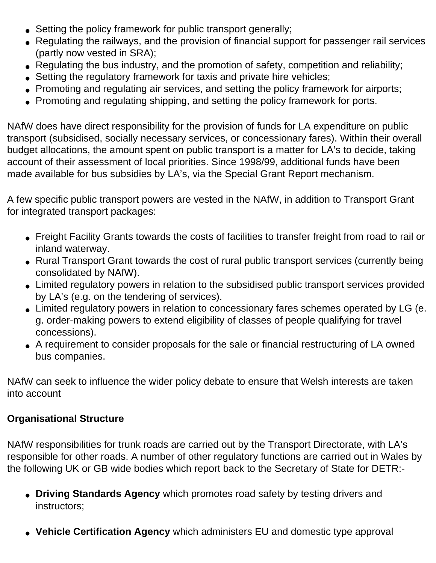- Setting the policy framework for public transport generally;
- Regulating the railways, and the provision of financial support for passenger rail services (partly now vested in SRA);
- Regulating the bus industry, and the promotion of safety, competition and reliability;
- Setting the regulatory framework for taxis and private hire vehicles;
- Promoting and regulating air services, and setting the policy framework for airports;
- Promoting and regulating shipping, and setting the policy framework for ports.

NAfW does have direct responsibility for the provision of funds for LA expenditure on public transport (subsidised, socially necessary services, or concessionary fares). Within their overall budget allocations, the amount spent on public transport is a matter for LA's to decide, taking account of their assessment of local priorities. Since 1998/99, additional funds have been made available for bus subsidies by LA's, via the Special Grant Report mechanism.

A few specific public transport powers are vested in the NAfW, in addition to Transport Grant for integrated transport packages:

- Freight Facility Grants towards the costs of facilities to transfer freight from road to rail or inland waterway.
- Rural Transport Grant towards the cost of rural public transport services (currently being consolidated by NAfW).
- Limited regulatory powers in relation to the subsidised public transport services provided by LA's (e.g. on the tendering of services).
- Limited regulatory powers in relation to concessionary fares schemes operated by LG (e. g. order-making powers to extend eligibility of classes of people qualifying for travel concessions).
- A requirement to consider proposals for the sale or financial restructuring of LA owned bus companies.

NAfW can seek to influence the wider policy debate to ensure that Welsh interests are taken into account

### **Organisational Structure**

NAfW responsibilities for trunk roads are carried out by the Transport Directorate, with LA's responsible for other roads. A number of other regulatory functions are carried out in Wales by the following UK or GB wide bodies which report back to the Secretary of State for DETR:-

- **Driving Standards Agency** which promotes road safety by testing drivers and instructors;
- **Vehicle Certification Agency** which administers EU and domestic type approval